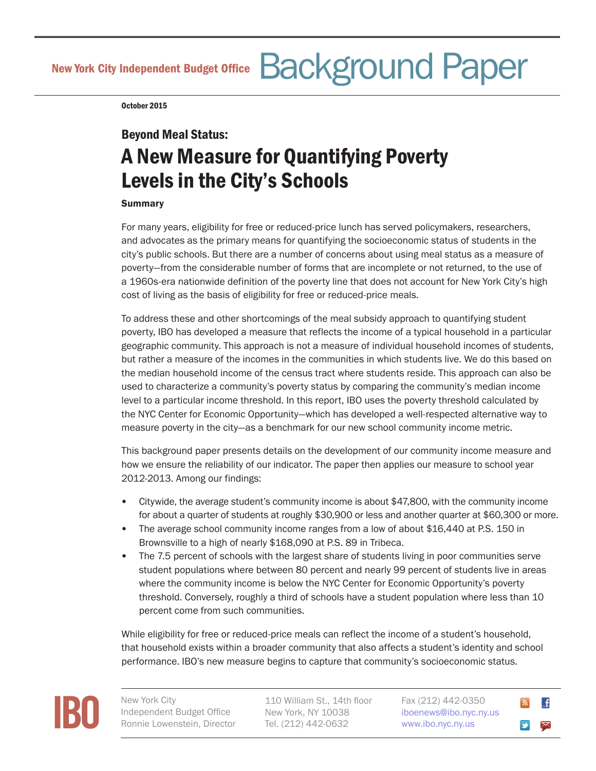New York City Independent Budget Office Background Paper

October 2015

## Beyond Meal Status:

# A New Measure for Quantifying Poverty Levels in the City's Schools

#### **Summary**

For many years, eligibility for free or reduced-price lunch has served policymakers, researchers, and advocates as the primary means for quantifying the socioeconomic status of students in the city's public schools. But there are a number of concerns about using meal status as a measure of poverty—from the considerable number of forms that are incomplete or not returned, to the use of a 1960s-era nationwide definition of the poverty line that does not account for New York City's high cost of living as the basis of eligibility for free or reduced-price meals.

To address these and other shortcomings of the meal subsidy approach to quantifying student poverty, IBO has developed a measure that reflects the income of a typical household in a particular geographic community. This approach is not a measure of individual household incomes of students, but rather a measure of the incomes in the communities in which students live. We do this based on the median household income of the census tract where students reside. This approach can also be used to characterize a community's poverty status by comparing the community's median income level to a particular income threshold. In this report, IBO uses the poverty threshold calculated by the NYC Center for Economic Opportunity—which has developed a well-respected alternative way to measure poverty in the city—as a benchmark for our new school community income metric.

This background paper presents details on the development of our community income measure and how we ensure the reliability of our indicator. The paper then applies our measure to school year 2012-2013. Among our findings:

- Citywide, the average student's community income is about \$47,800, with the community income for about a quarter of students at roughly \$30,900 or less and another quarter at \$60,300 or more.
- The average school community income ranges from a low of about \$16,440 at P.S. 150 in Brownsville to a high of nearly \$168,090 at P.S. 89 in Tribeca.
- The 7.5 percent of schools with the largest share of students living in poor communities serve student populations where between 80 percent and nearly 99 percent of students live in areas where the community income is below the NYC Center for Economic Opportunity's poverty threshold. Conversely, roughly a third of schools have a student population where less than 10 percent come from such communities.

While eligibility for free or reduced-price meals can reflect the income of a student's household, that household exists within a broader community that also affects a student's identity and school performance. IBO's new measure begins to capture that community's socioeconomic status.



Independent Budget Office Ronnie Lowenstein, Director

110 William St., 14th floor New York, NY 10038 Tel. (212) 442-0632

Fax (212) 442-0350 i[boenews@ibo.nyc.ny.us](mailto:iboenews%40ibo.nyc.ny.us?subject=) <www.ibo.nyc.ny.us>

 $\mathbf{f}$  $\approx$  $\blacktriangleright$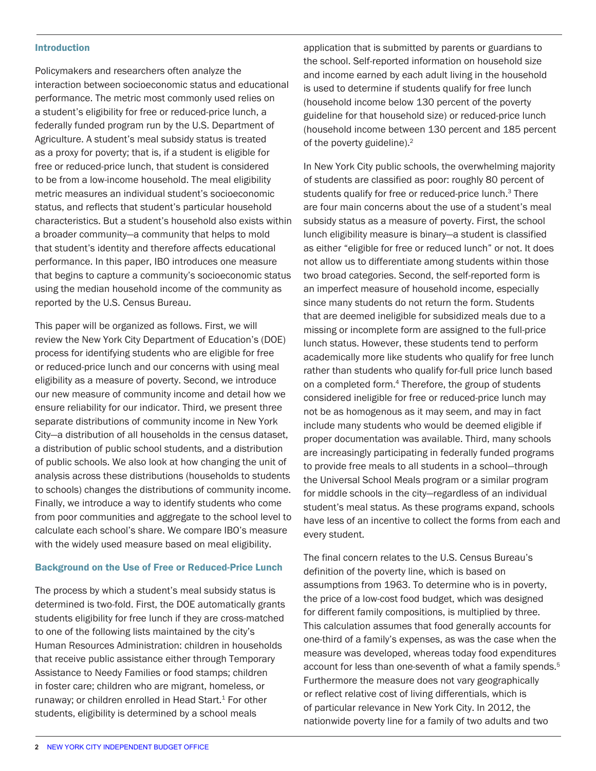#### Introduction

Policymakers and researchers often analyze the interaction between socioeconomic status and educational performance. The metric most commonly used relies on a student's eligibility for free or reduced-price lunch, a federally funded program run by the U.S. Department of Agriculture. A student's meal subsidy status is treated as a proxy for poverty; that is, if a student is eligible for free or reduced-price lunch, that student is considered to be from a low-income household. The meal eligibility metric measures an individual student's socioeconomic status, and reflects that student's particular household characteristics. But a student's household also exists within a broader community—a community that helps to mold that student's identity and therefore affects educational performance. In this paper, IBO introduces one measure that begins to capture a community's socioeconomic status using the median household income of the community as reported by the U.S. Census Bureau.

This paper will be organized as follows. First, we will review the New York City Department of Education's (DOE) process for identifying students who are eligible for free or reduced-price lunch and our concerns with using meal eligibility as a measure of poverty. Second, we introduce our new measure of community income and detail how we ensure reliability for our indicator. Third, we present three separate distributions of community income in New York City—a distribution of all households in the census dataset, a distribution of public school students, and a distribution of public schools. We also look at how changing the unit of analysis across these distributions (households to students to schools) changes the distributions of community income. Finally, we introduce a way to identify students who come from poor communities and aggregate to the school level to calculate each school's share. We compare IBO's measure with the widely used measure based on meal eligibility.

#### Background on the Use of Free or Reduced-Price Lunch

The process by which a student's meal subsidy status is determined is two-fold. First, the DOE automatically grants students eligibility for free lunch if they are cross-matched to one of the following lists maintained by the city's Human Resources Administration: children in households that receive public assistance either through Temporary Assistance to Needy Families or food stamps; children in foster care; children who are migrant, homeless, or runaway; or children enrolled in Head Start.<sup>1</sup> For other students, eligibility is determined by a school meals

application that is submitted by parents or guardians to the school. Self-reported information on household size and income earned by each adult living in the household is used to determine if students qualify for free lunch (household income below 130 percent of the poverty guideline for that household size) or reduced-price lunch (household income between 130 percent and 185 percent of the poverty guideline).<sup>2</sup>

In New York City public schools, the overwhelming majority of students are classified as poor: roughly 80 percent of students qualify for free or reduced-price lunch.<sup>3</sup> There are four main concerns about the use of a student's meal subsidy status as a measure of poverty. First, the school lunch eligibility measure is binary—a student is classified as either "eligible for free or reduced lunch" or not. It does not allow us to differentiate among students within those two broad categories. Second, the self-reported form is an imperfect measure of household income, especially since many students do not return the form. Students that are deemed ineligible for subsidized meals due to a missing or incomplete form are assigned to the full-price lunch status. However, these students tend to perform academically more like students who qualify for free lunch rather than students who qualify for-full price lunch based on a completed form.<sup>4</sup> Therefore, the group of students considered ineligible for free or reduced-price lunch may not be as homogenous as it may seem, and may in fact include many students who would be deemed eligible if proper documentation was available. Third, many schools are increasingly participating in federally funded programs to provide free meals to all students in a school—through the Universal School Meals program or a similar program for middle schools in the city—regardless of an individual student's meal status. As these programs expand, schools have less of an incentive to collect the forms from each and every student.

The final concern relates to the U.S. Census Bureau's definition of the poverty line, which is based on assumptions from 1963. To determine who is in poverty, the price of a low-cost food budget, which was designed for different family compositions, is multiplied by three. This calculation assumes that food generally accounts for one-third of a family's expenses, as was the case when the measure was developed, whereas today food expenditures account for less than one-seventh of what a family spends.<sup>5</sup> Furthermore the measure does not vary geographically or reflect relative cost of living differentials, which is of particular relevance in New York City. In 2012, the nationwide poverty line for a family of two adults and two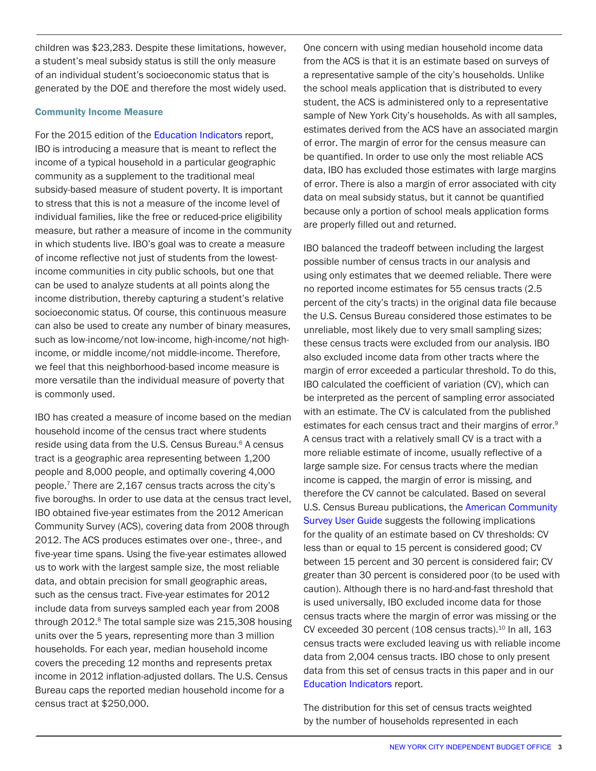children was \$23,283. Despite these limitations, however, a student's meal subsidy status is still the only measure of an individual student's socioeconomic status that is generated by the DOE and therefore the most widely used.

#### Community Income Measure

For the 2015 edition of the Education Indicators report, IBO is introducing a measure that is meant to reflect the income of a typical household in a particular geographic community as a supplement to the traditional meal subsidy-based measure of student poverty. It is important to stress that this is not a measure of the income level of individual families, like the free or reduced-price eligibility measure, but rather a measure of income in the community in which students live. IBO's goal was to create a measure of income reflective not just of students from the lowestincome communities in city public schools, but one that can be used to analyze students at all points along the income distribution, thereby capturing a student's relative socioeconomic status. Of course, this continuous measure can also be used to create any number of binary measures, such as low-income/not low-income, high-income/not highincome, or middle income/not middle-income. Therefore, we feel that this neighborhood-based income measure is more versatile than the individual measure of poverty that is commonly used.

IBO has created a measure of income based on the median household income of the census tract where students reside using data from the U.S. Census Bureau.<sup>6</sup> A census tract is a geographic area representing between 1,200 people and 8,000 people, and optimally covering 4,000 people.7 There are 2,167 census tracts across the city's five boroughs. In order to use data at the census tract level, IBO obtained five-year estimates from the 2012 American Community Survey (ACS), covering data from 2008 through 2012. The ACS produces estimates over one-, three-, and five-year time spans. Using the five-year estimates allowed us to work with the largest sample size, the most reliable data, and obtain precision for small geographic areas, such as the census tract. Five-year estimates for 2012 include data from surveys sampled each year from 2008 through 2012.<sup>8</sup> The total sample size was 215,308 housing units over the 5 years, representing more than 3 million households. For each year, median household income covers the preceding 12 months and represents pretax income in 2012 inflation-adjusted dollars. The U.S. Census Bureau caps the reported median household income for a census tract at \$250,000.

One concern with using median household income data from the ACS is that it is an estimate based on surveys of a representative sample of the city's households. Unlike the school meals application that is distributed to every student, the ACS is administered only to a representative sample of New York City's households. As with all samples, estimates derived from the ACS have an associated margin of error. The margin of error for the census measure can be quantified. In order to use only the most reliable ACS data, IBO has excluded those estimates with large margins of error. There is also a margin of error associated with city data on meal subsidy status, but it cannot be quantified because only a portion of school meals application forms are properly filled out and returned.

IBO balanced the tradeoff between including the largest possible number of census tracts in our analysis and using only estimates that we deemed reliable. There were no reported income estimates for 55 census tracts (2.5 percent of the city's tracts) in the original data file because the U.S. Census Bureau considered those estimates to be unreliable, most likely due to very small sampling sizes; these census tracts were excluded from our analysis. IBO also excluded income data from other tracts where the margin of error exceeded a particular threshold. To do this, IBO calculated the coefficient of variation (CV), which can be interpreted as the percent of sampling error associated with an estimate. The CV is calculated from the published estimates for each census tract and their margins of error.<sup>9</sup> A census tract with a relatively small CV is a tract with a more reliable estimate of income, usually reflective of a large sample size. For census tracts where the median income is capped, the margin of error is missing, and therefore the CV cannot be calculated. Based on several U.S. Census Bureau publications, the [American Community](http://www.ofm.wa.gov/pop/acs/userguide/ofm_acs_user_guide.pdf)  [Survey User Guide](http://www.ofm.wa.gov/pop/acs/userguide/ofm_acs_user_guide.pdf) suggests the following implications for the quality of an estimate based on CV thresholds: CV less than or equal to 15 percent is considered good; CV between 15 percent and 30 percent is considered fair; CV greater than 30 percent is considered poor (to be used with caution). Although there is no hard-and-fast threshold that is used universally, IBO excluded income data for those census tracts where the margin of error was missing or the CV exceeded 30 percent (108 census tracts).<sup>10</sup> In all, 163 census tracts were excluded leaving us with reliable income data from 2,004 census tracts. IBO chose to only present data from this set of census tracts in this paper and in our Education Indicators report.

The distribution for this set of census tracts weighted by the number of households represented in each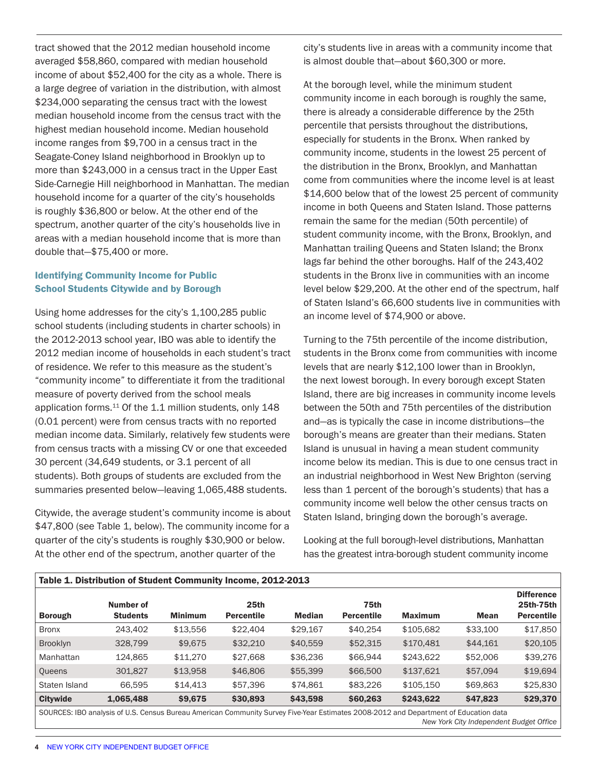tract showed that the 2012 median household income averaged \$58,860, compared with median household income of about \$52,400 for the city as a whole. There is a large degree of variation in the distribution, with almost \$234,000 separating the census tract with the lowest median household income from the census tract with the highest median household income. Median household income ranges from \$9,700 in a census tract in the Seagate-Coney Island neighborhood in Brooklyn up to more than \$243,000 in a census tract in the Upper East Side-Carnegie Hill neighborhood in Manhattan. The median household income for a quarter of the city's households is roughly \$36,800 or below. At the other end of the spectrum, another quarter of the city's households live in areas with a median household income that is more than double that—\$75,400 or more.

#### Identifying Community Income for Public School Students Citywide and by Borough

Using home addresses for the city's 1,100,285 public school students (including students in charter schools) in the 2012-2013 school year, IBO was able to identify the 2012 median income of households in each student's tract of residence. We refer to this measure as the student's "community income" to differentiate it from the traditional measure of poverty derived from the school meals application forms.<sup>11</sup> Of the 1.1 million students, only 148 (0.01 percent) were from census tracts with no reported median income data. Similarly, relatively few students were from census tracts with a missing CV or one that exceeded 30 percent (34,649 students, or 3.1 percent of all students). Both groups of students are excluded from the summaries presented below—leaving 1,065,488 students.

Citywide, the average student's community income is about \$47,800 (see Table 1, below). The community income for a quarter of the city's students is roughly \$30,900 or below. At the other end of the spectrum, another quarter of the

city's students live in areas with a community income that is almost double that—about \$60,300 or more.

At the borough level, while the minimum student community income in each borough is roughly the same, there is already a considerable difference by the 25th percentile that persists throughout the distributions, especially for students in the Bronx. When ranked by community income, students in the lowest 25 percent of the distribution in the Bronx, Brooklyn, and Manhattan come from communities where the income level is at least \$14,600 below that of the lowest 25 percent of community income in both Queens and Staten Island. Those patterns remain the same for the median (50th percentile) of student community income, with the Bronx, Brooklyn, and Manhattan trailing Queens and Staten Island; the Bronx lags far behind the other boroughs. Half of the 243,402 students in the Bronx live in communities with an income level below \$29,200. At the other end of the spectrum, half of Staten Island's 66,600 students live in communities with an income level of \$74,900 or above.

Turning to the 75th percentile of the income distribution, students in the Bronx come from communities with income levels that are nearly \$12,100 lower than in Brooklyn, the next lowest borough. In every borough except Staten Island, there are big increases in community income levels between the 50th and 75th percentiles of the distribution and—as is typically the case in income distributions—the borough's means are greater than their medians. Staten Island is unusual in having a mean student community income below its median. This is due to one census tract in an industrial neighborhood in West New Brighton (serving less than 1 percent of the borough's students) that has a community income well below the other census tracts on Staten Island, bringing down the borough's average.

Looking at the full borough-level distributions, Manhattan has the greatest intra-borough student community income

| Table 1. Distribution of Student Community Income, 2012-2013                                                                         |                              |                |                                       |               |                           |                |             |                                                     |  |
|--------------------------------------------------------------------------------------------------------------------------------------|------------------------------|----------------|---------------------------------------|---------------|---------------------------|----------------|-------------|-----------------------------------------------------|--|
| <b>Borough</b>                                                                                                                       | Number of<br><b>Students</b> | <b>Minimum</b> | 25 <sub>th</sub><br><b>Percentile</b> | <b>Median</b> | 75th<br><b>Percentile</b> | <b>Maximum</b> | <b>Mean</b> | <b>Difference</b><br>25th-75th<br><b>Percentile</b> |  |
| <b>Bronx</b>                                                                                                                         | 243.402                      | \$13,556       | \$22,404                              | \$29,167      | \$40,254                  | \$105,682      | \$33,100    | \$17,850                                            |  |
| <b>Brooklyn</b>                                                                                                                      | 328,799                      | \$9,675        | \$32,210                              | \$40,559      | \$52,315                  | \$170,481      | \$44,161    | \$20,105                                            |  |
| Manhattan                                                                                                                            | 124,865                      | \$11,270       | \$27,668                              | \$36,236      | \$66,944                  | \$243,622      | \$52,006    | \$39,276                                            |  |
| <b>Queens</b>                                                                                                                        | 301,827                      | \$13,958       | \$46,806                              | \$55,399      | \$66,500                  | \$137,621      | \$57,094    | \$19,694                                            |  |
| Staten Island                                                                                                                        | 66.595                       | \$14,413       | \$57,396                              | \$74.861      | \$83,226                  | \$105,150      | \$69,863    | \$25,830                                            |  |
| <b>Citywide</b>                                                                                                                      | 1,065,488                    | \$9,675        | \$30,893                              | \$43,598      | \$60,263                  | \$243,622      | \$47,823    | \$29,370                                            |  |
| SOURCES: IBO analysis of U.S. Census Bureau American Community Survey Five-Year Estimates 2008-2012 and Department of Education data |                              |                |                                       |               |                           |                |             |                                                     |  |

*New York City Independent Budget Office*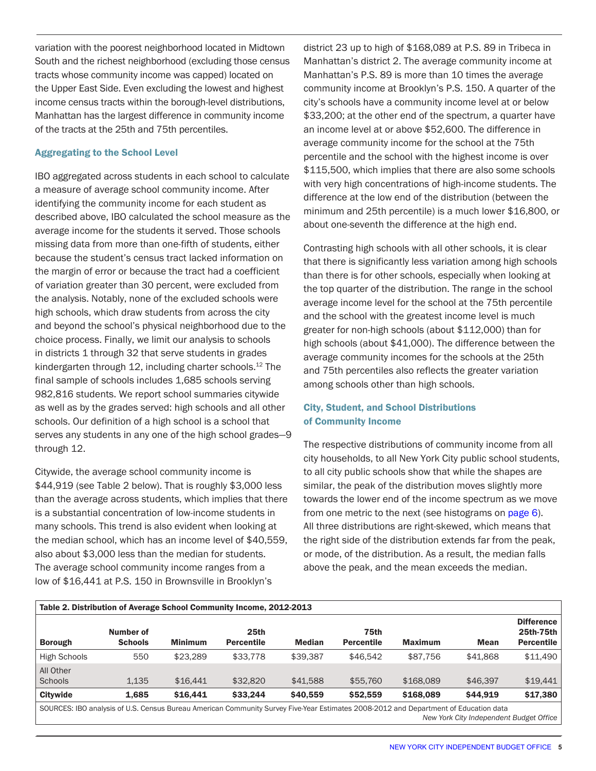variation with the poorest neighborhood located in Midtown South and the richest neighborhood (excluding those census tracts whose community income was capped) located on the Upper East Side. Even excluding the lowest and highest income census tracts within the borough-level distributions, Manhattan has the largest difference in community income of the tracts at the 25th and 75th percentiles.

#### Aggregating to the School Level

IBO aggregated across students in each school to calculate a measure of average school community income. After identifying the community income for each student as described above, IBO calculated the school measure as the average income for the students it served. Those schools missing data from more than one-fifth of students, either because the student's census tract lacked information on the margin of error or because the tract had a coefficient of variation greater than 30 percent, were excluded from the analysis. Notably, none of the excluded schools were high schools, which draw students from across the city and beyond the school's physical neighborhood due to the choice process. Finally, we limit our analysis to schools in districts 1 through 32 that serve students in grades kindergarten through 12, including charter schools.<sup>12</sup> The final sample of schools includes 1,685 schools serving 982,816 students. We report school summaries citywide as well as by the grades served: high schools and all other schools. Our definition of a high school is a school that serves any students in any one of the high school grades—9 through 12.

Citywide, the average school community income is \$44,919 (see Table 2 below). That is roughly \$3,000 less than the average across students, which implies that there is a substantial concentration of low-income students in many schools. This trend is also evident when looking at the median school, which has an income level of \$40,559, also about \$3,000 less than the median for students. The average school community income ranges from a low of \$16,441 at P.S. 150 in Brownsville in Brooklyn's

district 23 up to high of \$168,089 at P.S. 89 in Tribeca in Manhattan's district 2. The average community income at Manhattan's P.S. 89 is more than 10 times the average community income at Brooklyn's P.S. 150. A quarter of the city's schools have a community income level at or below \$33,200; at the other end of the spectrum, a quarter have an income level at or above \$52,600. The difference in average community income for the school at the 75th percentile and the school with the highest income is over \$115,500, which implies that there are also some schools with very high concentrations of high-income students. The difference at the low end of the distribution (between the minimum and 25th percentile) is a much lower \$16,800, or about one-seventh the difference at the high end.

Contrasting high schools with all other schools, it is clear that there is significantly less variation among high schools than there is for other schools, especially when looking at the top quarter of the distribution. The range in the school average income level for the school at the 75th percentile and the school with the greatest income level is much greater for non-high schools (about \$112,000) than for high schools (about \$41,000). The difference between the average community incomes for the schools at the 25th and 75th percentiles also reflects the greater variation among schools other than high schools.

### City, Student, and School Distributions of Community Income

The respective distributions of community income from all city households, to all New York City public school students, to all city public schools show that while the shapes are similar, the peak of the distribution moves slightly more towards the lower end of the income spectrum as we move from one metric to the next (see histograms on page 6). All three distributions are right-skewed, which means that the right side of the distribution extends far from the peak, or mode, of the distribution. As a result, the median falls above the peak, and the mean exceeds the median.

| Table 2. Distribution of Average School Community Income, 2012-2013 |                             |                |                                       |               |                           |                |             |                                                     |  |
|---------------------------------------------------------------------|-----------------------------|----------------|---------------------------------------|---------------|---------------------------|----------------|-------------|-----------------------------------------------------|--|
| <b>Borough</b>                                                      | Number of<br><b>Schools</b> | <b>Minimum</b> | 25 <sub>th</sub><br><b>Percentile</b> | <b>Median</b> | 75th<br><b>Percentile</b> | <b>Maximum</b> | <b>Mean</b> | <b>Difference</b><br>25th-75th<br><b>Percentile</b> |  |
| <b>High Schools</b>                                                 | 550                         | \$23,289       | \$33,778                              | \$39,387      | \$46,542                  | \$87,756       | \$41,868    | \$11,490                                            |  |
| All Other<br>Schools                                                | 1.135                       | \$16,441       | \$32,820                              | \$41,588      | \$55,760                  | \$168,089      | \$46,397    | \$19,441                                            |  |
| <b>Citywide</b>                                                     | 1.685                       | \$16,441       | \$33,244                              | \$40,559      | \$52,559                  | \$168,089      | \$44,919    | \$17,380                                            |  |

SOURCES: IBO analysis of U.S. Census Bureau American Community Survey Five-Year Estimates 2008-2012 and Department of Education data *New York City Independent Budget Office*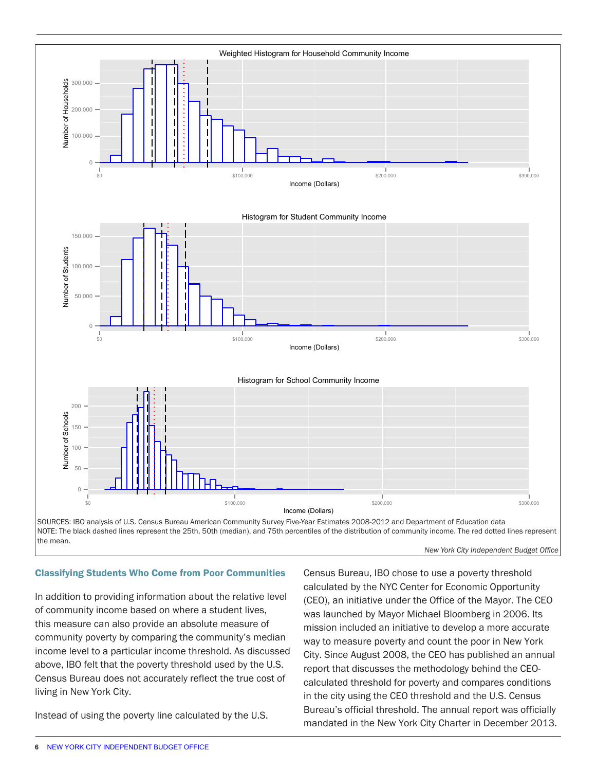

#### Classifying Students Who Come from Poor Communities

In addition to providing information about the relative level of community income based on where a student lives, this measure can also provide an absolute measure of community poverty by comparing the community's median income level to a particular income threshold. As discussed above, IBO felt that the poverty threshold used by the U.S. Census Bureau does not accurately reflect the true cost of living in New York City.

Instead of using the poverty line calculated by the U.S.

Census Bureau, IBO chose to use a poverty threshold calculated by the NYC Center for Economic Opportunity (CEO), an initiative under the Office of the Mayor. The CEO was launched by Mayor Michael Bloomberg in 2006. Its mission included an initiative to develop a more accurate way to measure poverty and count the poor in New York City. Since August 2008, the CEO has published an annual report that discusses the methodology behind the CEOcalculated threshold for poverty and compares conditions in the city using the CEO threshold and the U.S. Census Bureau's official threshold. The annual report was officially mandated in the New York City Charter in December 2013.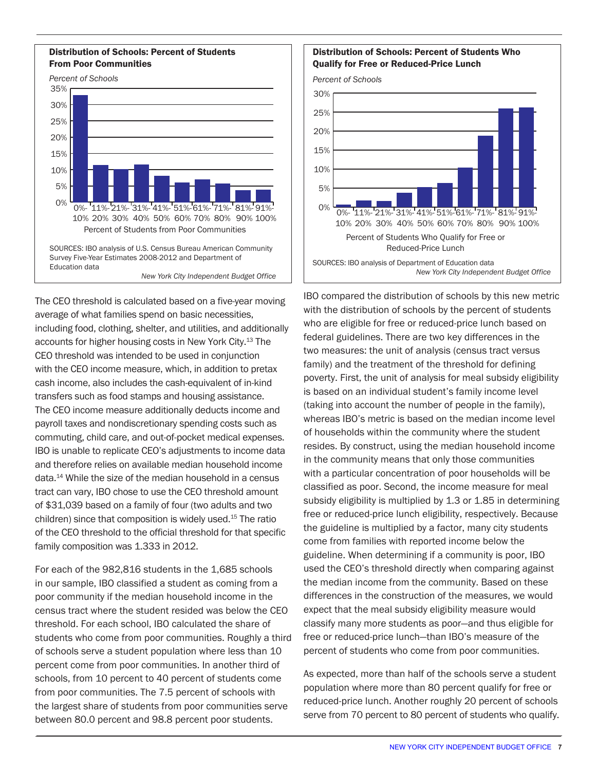#### Distribution of Schools: Percent of Students From Poor Communities



The CEO threshold is calculated based on a five-year moving average of what families spend on basic necessities, including food, clothing, shelter, and utilities, and additionally accounts for higher housing costs in New York City.13 The CEO threshold was intended to be used in conjunction with the CEO income measure, which, in addition to pretax cash income, also includes the cash-equivalent of in-kind transfers such as food stamps and housing assistance. The CEO income measure additionally deducts income and payroll taxes and nondiscretionary spending costs such as commuting, child care, and out-of-pocket medical expenses. IBO is unable to replicate CEO's adjustments to income data and therefore relies on available median household income data.14 While the size of the median household in a census tract can vary, IBO chose to use the CEO threshold amount of \$31,039 based on a family of four (two adults and two children) since that composition is widely used.15 The ratio of the CEO threshold to the official threshold for that specific family composition was 1.333 in 2012.

For each of the 982,816 students in the 1,685 schools in our sample, IBO classified a student as coming from a poor community if the median household income in the census tract where the student resided was below the CEO threshold. For each school, IBO calculated the share of students who come from poor communities. Roughly a third of schools serve a student population where less than 10 percent come from poor communities. In another third of schools, from 10 percent to 40 percent of students come from poor communities. The 7.5 percent of schools with the largest share of students from poor communities serve between 80.0 percent and 98.8 percent poor students.

#### Distribution of Schools: Percent of Students Who Qualify for Free or Reduced-Price Lunch

*Percent of Schools*



IBO compared the distribution of schools by this new metric with the distribution of schools by the percent of students who are eligible for free or reduced-price lunch based on federal guidelines. There are two key differences in the two measures: the unit of analysis (census tract versus family) and the treatment of the threshold for defining poverty. First, the unit of analysis for meal subsidy eligibility is based on an individual student's family income level (taking into account the number of people in the family), whereas IBO's metric is based on the median income level of households within the community where the student resides. By construct, using the median household income in the community means that only those communities with a particular concentration of poor households will be classified as poor. Second, the income measure for meal subsidy eligibility is multiplied by 1.3 or 1.85 in determining free or reduced-price lunch eligibility, respectively. Because the guideline is multiplied by a factor, many city students come from families with reported income below the guideline. When determining if a community is poor, IBO used the CEO's threshold directly when comparing against the median income from the community. Based on these differences in the construction of the measures, we would expect that the meal subsidy eligibility measure would classify many more students as poor—and thus eligible for free or reduced-price lunch—than IBO's measure of the percent of students who come from poor communities.

As expected, more than half of the schools serve a student population where more than 80 percent qualify for free or reduced-price lunch. Another roughly 20 percent of schools serve from 70 percent to 80 percent of students who qualify.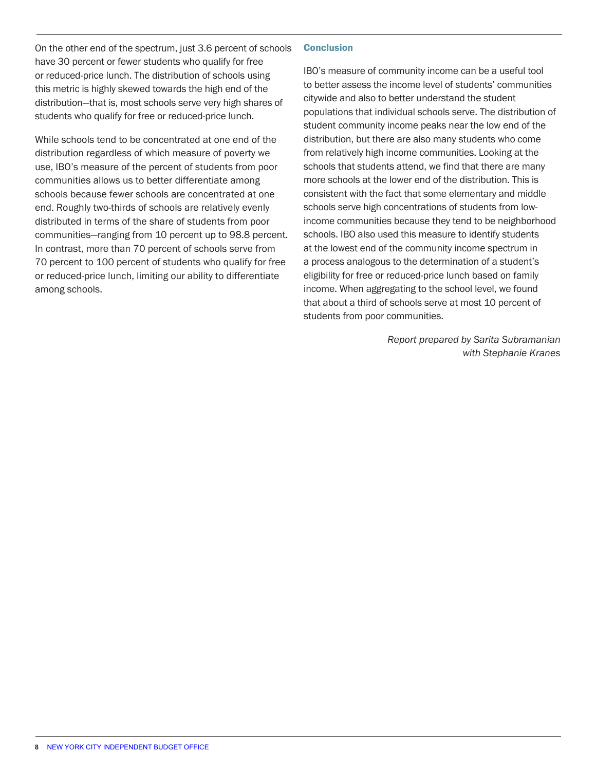On the other end of the spectrum, just 3.6 percent of schools have 30 percent or fewer students who qualify for free or reduced-price lunch. The distribution of schools using this metric is highly skewed towards the high end of the distribution—that is, most schools serve very high shares of students who qualify for free or reduced-price lunch.

While schools tend to be concentrated at one end of the distribution regardless of which measure of poverty we use, IBO's measure of the percent of students from poor communities allows us to better differentiate among schools because fewer schools are concentrated at one end. Roughly two-thirds of schools are relatively evenly distributed in terms of the share of students from poor communities—ranging from 10 percent up to 98.8 percent. In contrast, more than 70 percent of schools serve from 70 percent to 100 percent of students who qualify for free or reduced-price lunch, limiting our ability to differentiate among schools.

#### **Conclusion**

IBO's measure of community income can be a useful tool to better assess the income level of students' communities citywide and also to better understand the student populations that individual schools serve. The distribution of student community income peaks near the low end of the distribution, but there are also many students who come from relatively high income communities. Looking at the schools that students attend, we find that there are many more schools at the lower end of the distribution. This is consistent with the fact that some elementary and middle schools serve high concentrations of students from lowincome communities because they tend to be neighborhood schools. IBO also used this measure to identify students at the lowest end of the community income spectrum in a process analogous to the determination of a student's eligibility for free or reduced-price lunch based on family income. When aggregating to the school level, we found that about a third of schools serve at most 10 percent of students from poor communities.

> *Report prepared by Sarita Subramanian with Stephanie Kranes*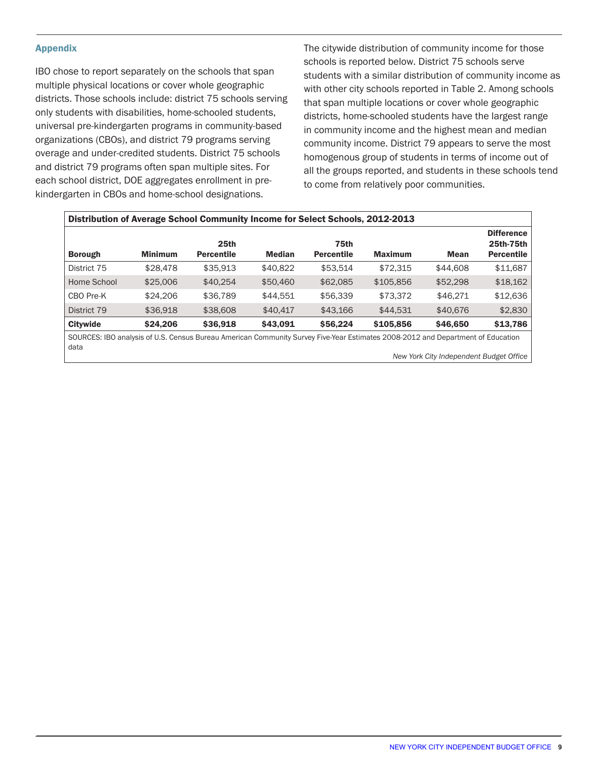#### Appendix

IBO chose to report separately on the schools that span multiple physical locations or cover whole geographic districts. Those schools include: district 75 schools serving only students with disabilities, home-schooled students, universal pre-kindergarten programs in community-based organizations (CBOs), and district 79 programs serving overage and under-credited students. District 75 schools and district 79 programs often span multiple sites. For each school district, DOE aggregates enrollment in prekindergarten in CBOs and home-school designations.

The citywide distribution of community income for those schools is reported below. District 75 schools serve students with a similar distribution of community income as with other city schools reported in Table 2. Among schools that span multiple locations or cover whole geographic districts, home-schooled students have the largest range in community income and the highest mean and median community income. District 79 appears to serve the most homogenous group of students in terms of income out of all the groups reported, and students in these schools tend to come from relatively poor communities.

| Distribution of Average School Community Income for Select Schools, 2012-2013                                                   |                |                           |               |                           |                |             |                                                     |  |  |
|---------------------------------------------------------------------------------------------------------------------------------|----------------|---------------------------|---------------|---------------------------|----------------|-------------|-----------------------------------------------------|--|--|
| <b>Borough</b>                                                                                                                  | <b>Minimum</b> | 25th<br><b>Percentile</b> | <b>Median</b> | 75th<br><b>Percentile</b> | <b>Maximum</b> | <b>Mean</b> | <b>Difference</b><br>25th-75th<br><b>Percentile</b> |  |  |
| District 75                                                                                                                     | \$28,478       | \$35,913                  | \$40,822      | \$53.514                  | \$72,315       | \$44,608    | \$11,687                                            |  |  |
| Home School                                                                                                                     | \$25,006       | \$40,254                  | \$50,460      | \$62,085                  | \$105,856      | \$52,298    | \$18,162                                            |  |  |
| CBO Pre-K                                                                                                                       | \$24,206       | \$36,789                  | \$44.551      | \$56,339                  | \$73.372       | \$46.271    | \$12,636                                            |  |  |
| District 79                                                                                                                     | \$36,918       | \$38,608                  | \$40,417      | \$43,166                  | \$44,531       | \$40,676    | \$2,830                                             |  |  |
| <b>Citywide</b>                                                                                                                 | \$24,206       | \$36,918                  | \$43.091      | \$56,224                  | \$105,856      | \$46,650    | \$13,786                                            |  |  |
| SOURCES: IBO analysis of U.S. Census Bureau American Community Survey Five-Year Estimates 2008-2012 and Department of Education |                |                           |               |                           |                |             |                                                     |  |  |

SOURCES: IBO analysis of U.S. Census Bureau American Community Survey Five-Year Estimates 2008-2012 and Department of Education data

*New York City Independent Budget Office*